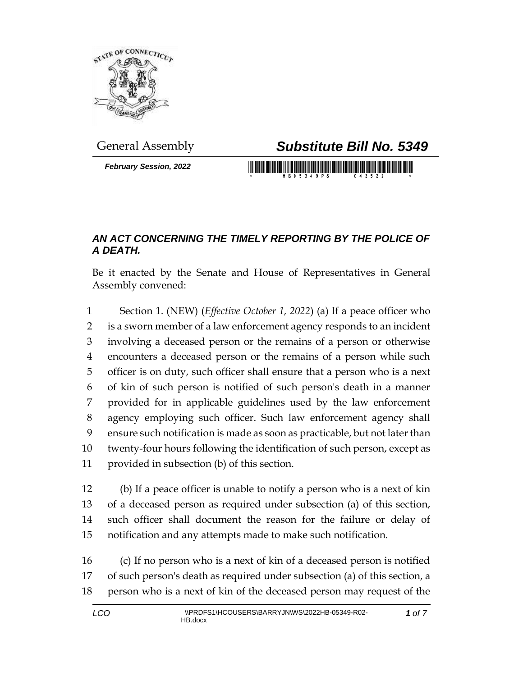

*February Session, 2022*

## General Assembly *Substitute Bill No. 5349*

## *AN ACT CONCERNING THE TIMELY REPORTING BY THE POLICE OF A DEATH.*

Be it enacted by the Senate and House of Representatives in General Assembly convened:

 Section 1. (NEW) (*Effective October 1, 2022*) (a) If a peace officer who is a sworn member of a law enforcement agency responds to an incident involving a deceased person or the remains of a person or otherwise encounters a deceased person or the remains of a person while such officer is on duty, such officer shall ensure that a person who is a next of kin of such person is notified of such person's death in a manner provided for in applicable guidelines used by the law enforcement agency employing such officer. Such law enforcement agency shall ensure such notification is made as soon as practicable, but not later than twenty-four hours following the identification of such person, except as provided in subsection (b) of this section.

 (b) If a peace officer is unable to notify a person who is a next of kin of a deceased person as required under subsection (a) of this section, such officer shall document the reason for the failure or delay of notification and any attempts made to make such notification.

 (c) If no person who is a next of kin of a deceased person is notified of such person's death as required under subsection (a) of this section, a person who is a next of kin of the deceased person may request of the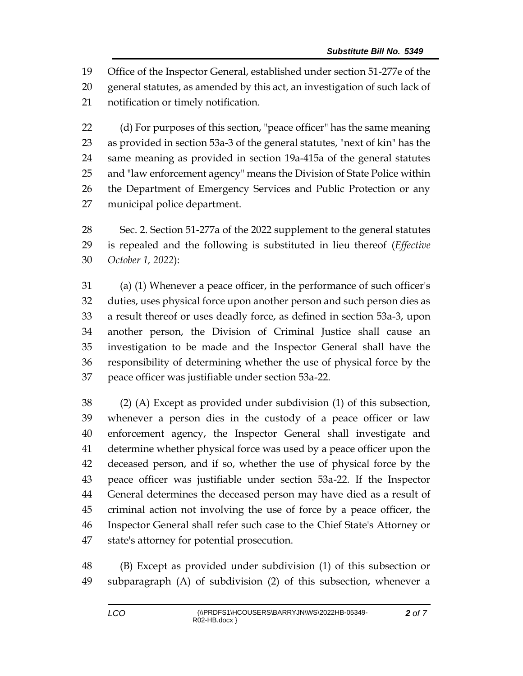Office of the Inspector General, established under section 51-277e of the general statutes, as amended by this act, an investigation of such lack of notification or timely notification.

 (d) For purposes of this section, "peace officer" has the same meaning as provided in section 53a-3 of the general statutes, "next of kin" has the same meaning as provided in section 19a-415a of the general statutes and "law enforcement agency" means the Division of State Police within the Department of Emergency Services and Public Protection or any municipal police department.

 Sec. 2. Section 51-277a of the 2022 supplement to the general statutes is repealed and the following is substituted in lieu thereof (*Effective October 1, 2022*):

 (a) (1) Whenever a peace officer, in the performance of such officer's duties, uses physical force upon another person and such person dies as a result thereof or uses deadly force, as defined in section 53a-3, upon another person, the Division of Criminal Justice shall cause an investigation to be made and the Inspector General shall have the responsibility of determining whether the use of physical force by the peace officer was justifiable under section 53a-22.

 (2) (A) Except as provided under subdivision (1) of this subsection, whenever a person dies in the custody of a peace officer or law enforcement agency, the Inspector General shall investigate and determine whether physical force was used by a peace officer upon the deceased person, and if so, whether the use of physical force by the peace officer was justifiable under section 53a-22. If the Inspector General determines the deceased person may have died as a result of criminal action not involving the use of force by a peace officer, the Inspector General shall refer such case to the Chief State's Attorney or state's attorney for potential prosecution.

 (B) Except as provided under subdivision (1) of this subsection or subparagraph (A) of subdivision (2) of this subsection, whenever a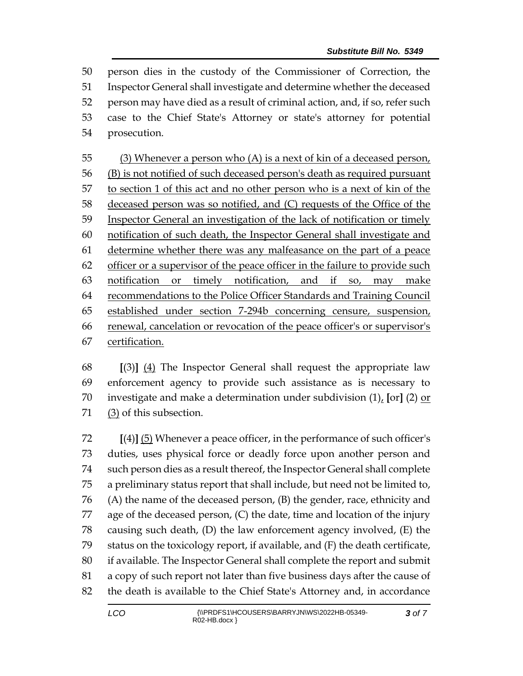person dies in the custody of the Commissioner of Correction, the Inspector General shall investigate and determine whether the deceased person may have died as a result of criminal action, and, if so, refer such case to the Chief State's Attorney or state's attorney for potential prosecution.

 (3) Whenever a person who (A) is a next of kin of a deceased person, (B) is not notified of such deceased person's death as required pursuant to section 1 of this act and no other person who is a next of kin of the deceased person was so notified, and (C) requests of the Office of the 59 Inspector General an investigation of the lack of notification or timely notification of such death, the Inspector General shall investigate and determine whether there was any malfeasance on the part of a peace officer or a supervisor of the peace officer in the failure to provide such notification or timely notification, and if so, may make recommendations to the Police Officer Standards and Training Council established under section 7-294b concerning censure, suspension, renewal, cancelation or revocation of the peace officer's or supervisor's certification.

 **[**(3)**]** (4) The Inspector General shall request the appropriate law enforcement agency to provide such assistance as is necessary to investigate and make a determination under subdivision (1), **[**or**]** (2) or (3) of this subsection.

 **[**(4)**]** (5) Whenever a peace officer, in the performance of such officer's duties, uses physical force or deadly force upon another person and such person dies as a result thereof, the Inspector General shall complete a preliminary status report that shall include, but need not be limited to, (A) the name of the deceased person, (B) the gender, race, ethnicity and age of the deceased person, (C) the date, time and location of the injury causing such death, (D) the law enforcement agency involved, (E) the status on the toxicology report, if available, and (F) the death certificate, if available. The Inspector General shall complete the report and submit a copy of such report not later than five business days after the cause of the death is available to the Chief State's Attorney and, in accordance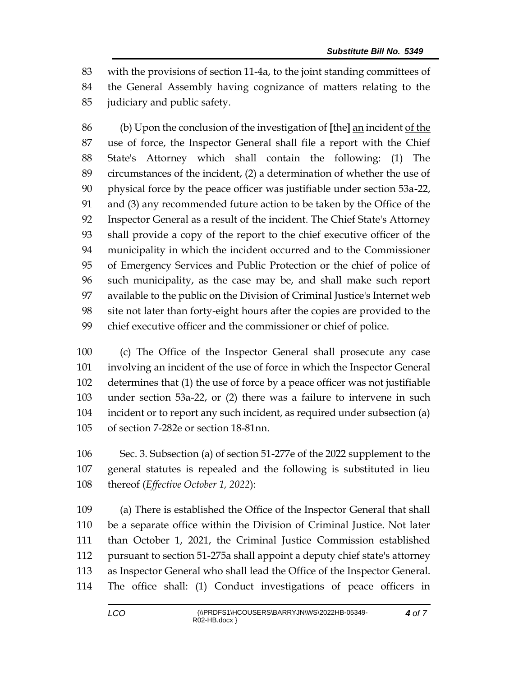with the provisions of section 11-4a, to the joint standing committees of the General Assembly having cognizance of matters relating to the

judiciary and public safety.

 (b) Upon the conclusion of the investigation of **[**the**]** an incident of the 87 use of force, the Inspector General shall file a report with the Chief State's Attorney which shall contain the following: (1) The circumstances of the incident, (2) a determination of whether the use of physical force by the peace officer was justifiable under section 53a-22, and (3) any recommended future action to be taken by the Office of the Inspector General as a result of the incident. The Chief State's Attorney shall provide a copy of the report to the chief executive officer of the municipality in which the incident occurred and to the Commissioner of Emergency Services and Public Protection or the chief of police of such municipality, as the case may be, and shall make such report available to the public on the Division of Criminal Justice's Internet web site not later than forty-eight hours after the copies are provided to the chief executive officer and the commissioner or chief of police.

 (c) The Office of the Inspector General shall prosecute any case involving an incident of the use of force in which the Inspector General determines that (1) the use of force by a peace officer was not justifiable under section 53a-22, or (2) there was a failure to intervene in such incident or to report any such incident, as required under subsection (a) of section 7-282e or section 18-81nn.

 Sec. 3. Subsection (a) of section 51-277e of the 2022 supplement to the general statutes is repealed and the following is substituted in lieu thereof (*Effective October 1, 2022*):

 (a) There is established the Office of the Inspector General that shall be a separate office within the Division of Criminal Justice. Not later than October 1, 2021, the Criminal Justice Commission established pursuant to section 51-275a shall appoint a deputy chief state's attorney as Inspector General who shall lead the Office of the Inspector General. The office shall: (1) Conduct investigations of peace officers in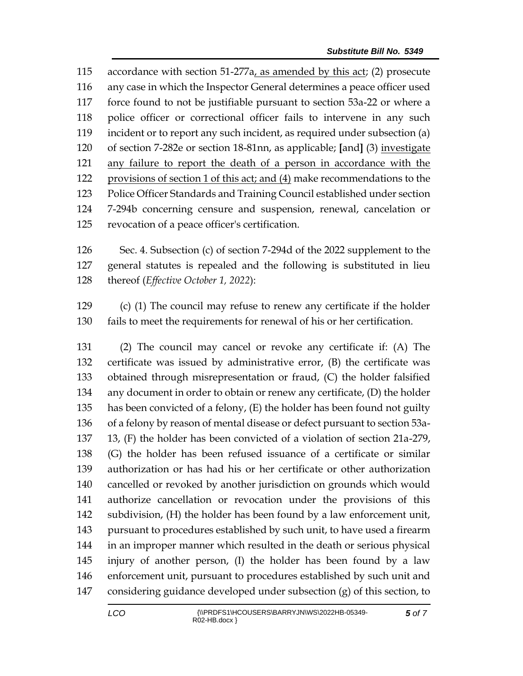accordance with section 51-277a, as amended by this act; (2) prosecute any case in which the Inspector General determines a peace officer used force found to not be justifiable pursuant to section 53a-22 or where a police officer or correctional officer fails to intervene in any such incident or to report any such incident, as required under subsection (a) of section 7-282e or section 18-81nn, as applicable; **[**and**]** (3) investigate any failure to report the death of a person in accordance with the provisions of section 1 of this act; and (4) make recommendations to the Police Officer Standards and Training Council established under section 7-294b concerning censure and suspension, renewal, cancelation or revocation of a peace officer's certification.

 Sec. 4. Subsection (c) of section 7-294d of the 2022 supplement to the general statutes is repealed and the following is substituted in lieu thereof (*Effective October 1, 2022*):

 (c) (1) The council may refuse to renew any certificate if the holder fails to meet the requirements for renewal of his or her certification.

 (2) The council may cancel or revoke any certificate if: (A) The certificate was issued by administrative error, (B) the certificate was obtained through misrepresentation or fraud, (C) the holder falsified any document in order to obtain or renew any certificate, (D) the holder has been convicted of a felony, (E) the holder has been found not guilty of a felony by reason of mental disease or defect pursuant to section 53a- 13, (F) the holder has been convicted of a violation of section 21a-279, (G) the holder has been refused issuance of a certificate or similar authorization or has had his or her certificate or other authorization cancelled or revoked by another jurisdiction on grounds which would authorize cancellation or revocation under the provisions of this subdivision, (H) the holder has been found by a law enforcement unit, pursuant to procedures established by such unit, to have used a firearm in an improper manner which resulted in the death or serious physical injury of another person, (I) the holder has been found by a law enforcement unit, pursuant to procedures established by such unit and considering guidance developed under subsection (g) of this section, to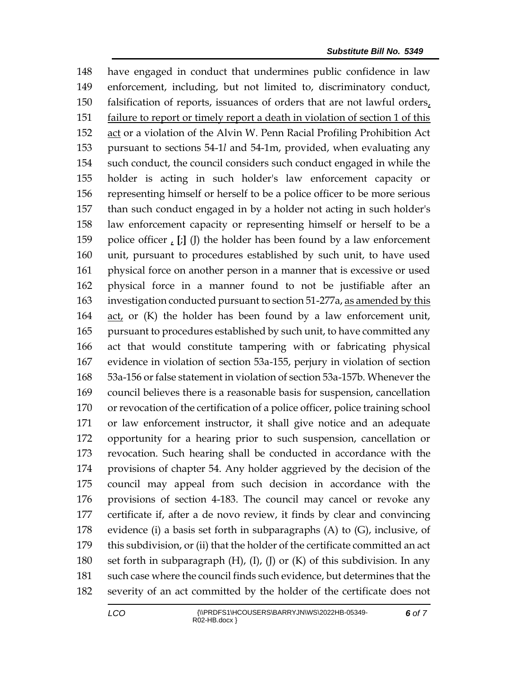have engaged in conduct that undermines public confidence in law enforcement, including, but not limited to, discriminatory conduct, falsification of reports, issuances of orders that are not lawful orders, failure to report or timely report a death in violation of section 1 of this 152 act or a violation of the Alvin W. Penn Racial Profiling Prohibition Act pursuant to sections 54-1*l* and 54-1m, provided, when evaluating any such conduct, the council considers such conduct engaged in while the holder is acting in such holder's law enforcement capacity or representing himself or herself to be a police officer to be more serious than such conduct engaged in by a holder not acting in such holder's law enforcement capacity or representing himself or herself to be a police officer , **[**;**]** (J) the holder has been found by a law enforcement unit, pursuant to procedures established by such unit, to have used physical force on another person in a manner that is excessive or used physical force in a manner found to not be justifiable after an investigation conducted pursuant to section 51-277a, as amended by this act, or (K) the holder has been found by a law enforcement unit, pursuant to procedures established by such unit, to have committed any act that would constitute tampering with or fabricating physical evidence in violation of section 53a-155, perjury in violation of section 53a-156 or false statement in violation of section 53a-157b. Whenever the council believes there is a reasonable basis for suspension, cancellation or revocation of the certification of a police officer, police training school or law enforcement instructor, it shall give notice and an adequate opportunity for a hearing prior to such suspension, cancellation or revocation. Such hearing shall be conducted in accordance with the provisions of chapter 54. Any holder aggrieved by the decision of the council may appeal from such decision in accordance with the provisions of section 4-183. The council may cancel or revoke any certificate if, after a de novo review, it finds by clear and convincing 178 evidence (i) a basis set forth in subparagraphs  $(A)$  to  $(G)$ , inclusive, of this subdivision, or (ii) that the holder of the certificate committed an act set forth in subparagraph (H), (I), (J) or (K) of this subdivision. In any such case where the council finds such evidence, but determines that the severity of an act committed by the holder of the certificate does not